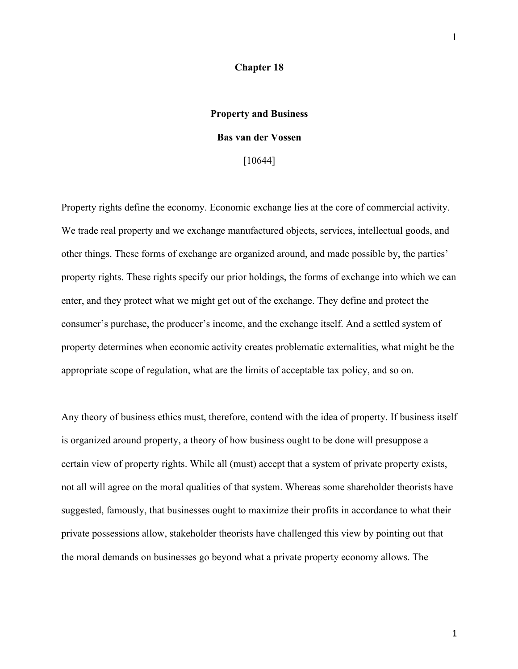### **Chapter 18**

# **Property and Business Bas van der Vossen**

[10644]

Property rights define the economy. Economic exchange lies at the core of commercial activity. We trade real property and we exchange manufactured objects, services, intellectual goods, and other things. These forms of exchange are organized around, and made possible by, the parties' property rights. These rights specify our prior holdings, the forms of exchange into which we can enter, and they protect what we might get out of the exchange. They define and protect the consumer's purchase, the producer's income, and the exchange itself. And a settled system of property determines when economic activity creates problematic externalities, what might be the appropriate scope of regulation, what are the limits of acceptable tax policy, and so on.

Any theory of business ethics must, therefore, contend with the idea of property. If business itself is organized around property, a theory of how business ought to be done will presuppose a certain view of property rights. While all (must) accept that a system of private property exists, not all will agree on the moral qualities of that system. Whereas some shareholder theorists have suggested, famously, that businesses ought to maximize their profits in accordance to what their private possessions allow, stakeholder theorists have challenged this view by pointing out that the moral demands on businesses go beyond what a private property economy allows. The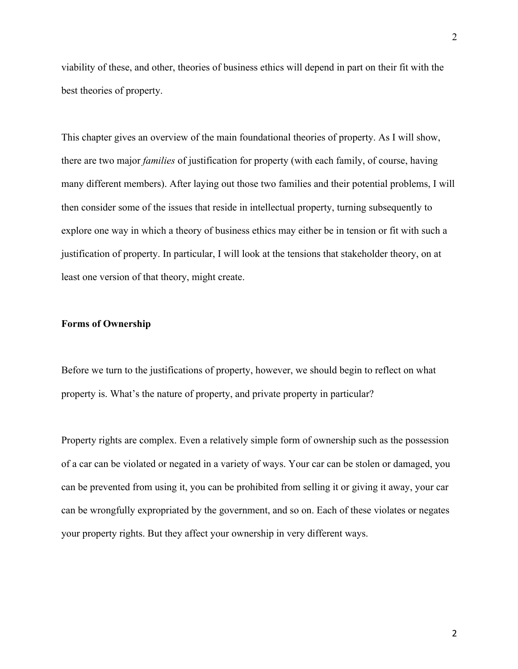viability of these, and other, theories of business ethics will depend in part on their fit with the best theories of property.

This chapter gives an overview of the main foundational theories of property. As I will show, there are two major *families* of justification for property (with each family, of course, having many different members). After laying out those two families and their potential problems, I will then consider some of the issues that reside in intellectual property, turning subsequently to explore one way in which a theory of business ethics may either be in tension or fit with such a justification of property. In particular, I will look at the tensions that stakeholder theory, on at least one version of that theory, might create.

# **Forms of Ownership**

Before we turn to the justifications of property, however, we should begin to reflect on what property is. What's the nature of property, and private property in particular?

Property rights are complex. Even a relatively simple form of ownership such as the possession of a car can be violated or negated in a variety of ways. Your car can be stolen or damaged, you can be prevented from using it, you can be prohibited from selling it or giving it away, your car can be wrongfully expropriated by the government, and so on. Each of these violates or negates your property rights. But they affect your ownership in very different ways.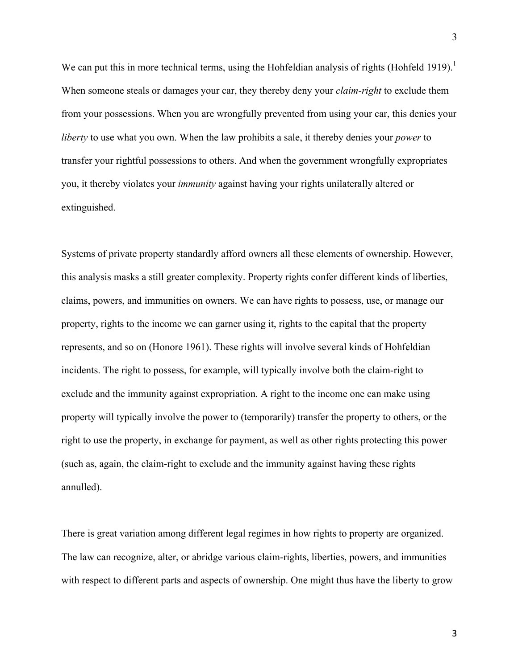We can put this in more technical terms, using the Hohfeldian analysis of rights (Hohfeld 1919).<sup>1</sup> When someone steals or damages your car, they thereby deny your *claim-right* to exclude them from your possessions. When you are wrongfully prevented from using your car, this denies your *liberty* to use what you own. When the law prohibits a sale, it thereby denies your *power* to transfer your rightful possessions to others. And when the government wrongfully expropriates you, it thereby violates your *immunity* against having your rights unilaterally altered or extinguished.

Systems of private property standardly afford owners all these elements of ownership. However, this analysis masks a still greater complexity. Property rights confer different kinds of liberties, claims, powers, and immunities on owners. We can have rights to possess, use, or manage our property, rights to the income we can garner using it, rights to the capital that the property represents, and so on (Honore 1961). These rights will involve several kinds of Hohfeldian incidents. The right to possess, for example, will typically involve both the claim-right to exclude and the immunity against expropriation. A right to the income one can make using property will typically involve the power to (temporarily) transfer the property to others, or the right to use the property, in exchange for payment, as well as other rights protecting this power (such as, again, the claim-right to exclude and the immunity against having these rights annulled).

There is great variation among different legal regimes in how rights to property are organized. The law can recognize, alter, or abridge various claim-rights, liberties, powers, and immunities with respect to different parts and aspects of ownership. One might thus have the liberty to grow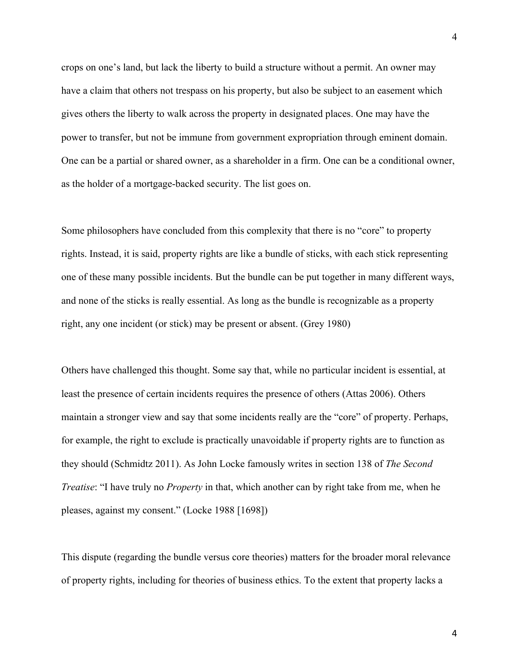crops on one's land, but lack the liberty to build a structure without a permit. An owner may have a claim that others not trespass on his property, but also be subject to an easement which gives others the liberty to walk across the property in designated places. One may have the power to transfer, but not be immune from government expropriation through eminent domain. One can be a partial or shared owner, as a shareholder in a firm. One can be a conditional owner, as the holder of a mortgage-backed security. The list goes on.

Some philosophers have concluded from this complexity that there is no "core" to property rights. Instead, it is said, property rights are like a bundle of sticks, with each stick representing one of these many possible incidents. But the bundle can be put together in many different ways, and none of the sticks is really essential. As long as the bundle is recognizable as a property right, any one incident (or stick) may be present or absent. (Grey 1980)

Others have challenged this thought. Some say that, while no particular incident is essential, at least the presence of certain incidents requires the presence of others (Attas 2006). Others maintain a stronger view and say that some incidents really are the "core" of property. Perhaps, for example, the right to exclude is practically unavoidable if property rights are to function as they should (Schmidtz 2011). As John Locke famously writes in section 138 of *The Second Treatise*: "I have truly no *Property* in that, which another can by right take from me, when he pleases, against my consent." (Locke 1988 [1698])

This dispute (regarding the bundle versus core theories) matters for the broader moral relevance of property rights, including for theories of business ethics. To the extent that property lacks a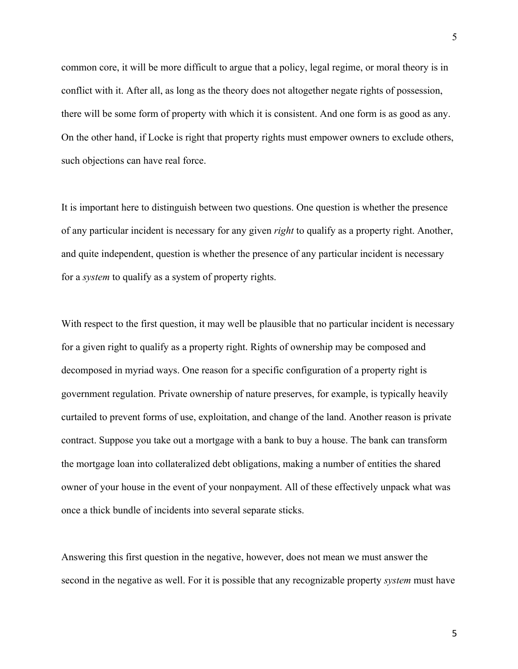common core, it will be more difficult to argue that a policy, legal regime, or moral theory is in conflict with it. After all, as long as the theory does not altogether negate rights of possession, there will be some form of property with which it is consistent. And one form is as good as any. On the other hand, if Locke is right that property rights must empower owners to exclude others, such objections can have real force.

It is important here to distinguish between two questions. One question is whether the presence of any particular incident is necessary for any given *right* to qualify as a property right. Another, and quite independent, question is whether the presence of any particular incident is necessary for a *system* to qualify as a system of property rights.

With respect to the first question, it may well be plausible that no particular incident is necessary for a given right to qualify as a property right. Rights of ownership may be composed and decomposed in myriad ways. One reason for a specific configuration of a property right is government regulation. Private ownership of nature preserves, for example, is typically heavily curtailed to prevent forms of use, exploitation, and change of the land. Another reason is private contract. Suppose you take out a mortgage with a bank to buy a house. The bank can transform the mortgage loan into collateralized debt obligations, making a number of entities the shared owner of your house in the event of your nonpayment. All of these effectively unpack what was once a thick bundle of incidents into several separate sticks.

Answering this first question in the negative, however, does not mean we must answer the second in the negative as well. For it is possible that any recognizable property *system* must have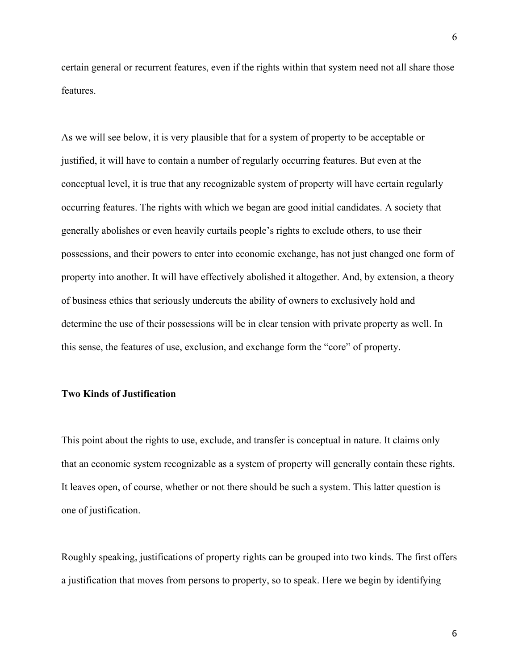certain general or recurrent features, even if the rights within that system need not all share those features.

As we will see below, it is very plausible that for a system of property to be acceptable or justified, it will have to contain a number of regularly occurring features. But even at the conceptual level, it is true that any recognizable system of property will have certain regularly occurring features. The rights with which we began are good initial candidates. A society that generally abolishes or even heavily curtails people's rights to exclude others, to use their possessions, and their powers to enter into economic exchange, has not just changed one form of property into another. It will have effectively abolished it altogether. And, by extension, a theory of business ethics that seriously undercuts the ability of owners to exclusively hold and determine the use of their possessions will be in clear tension with private property as well. In this sense, the features of use, exclusion, and exchange form the "core" of property.

# **Two Kinds of Justification**

This point about the rights to use, exclude, and transfer is conceptual in nature. It claims only that an economic system recognizable as a system of property will generally contain these rights. It leaves open, of course, whether or not there should be such a system. This latter question is one of justification.

Roughly speaking, justifications of property rights can be grouped into two kinds. The first offers a justification that moves from persons to property, so to speak. Here we begin by identifying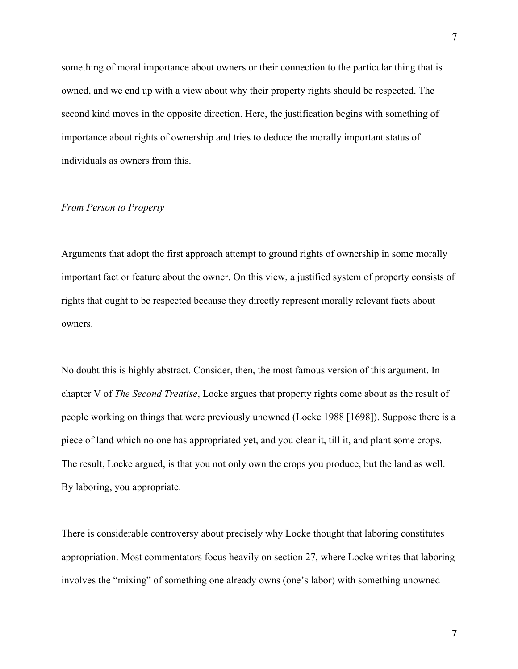something of moral importance about owners or their connection to the particular thing that is owned, and we end up with a view about why their property rights should be respected. The second kind moves in the opposite direction. Here, the justification begins with something of importance about rights of ownership and tries to deduce the morally important status of individuals as owners from this.

# *From Person to Property*

Arguments that adopt the first approach attempt to ground rights of ownership in some morally important fact or feature about the owner. On this view, a justified system of property consists of rights that ought to be respected because they directly represent morally relevant facts about owners.

No doubt this is highly abstract. Consider, then, the most famous version of this argument. In chapter V of *The Second Treatise*, Locke argues that property rights come about as the result of people working on things that were previously unowned (Locke 1988 [1698]). Suppose there is a piece of land which no one has appropriated yet, and you clear it, till it, and plant some crops. The result, Locke argued, is that you not only own the crops you produce, but the land as well. By laboring, you appropriate.

There is considerable controversy about precisely why Locke thought that laboring constitutes appropriation. Most commentators focus heavily on section 27, where Locke writes that laboring involves the "mixing" of something one already owns (one's labor) with something unowned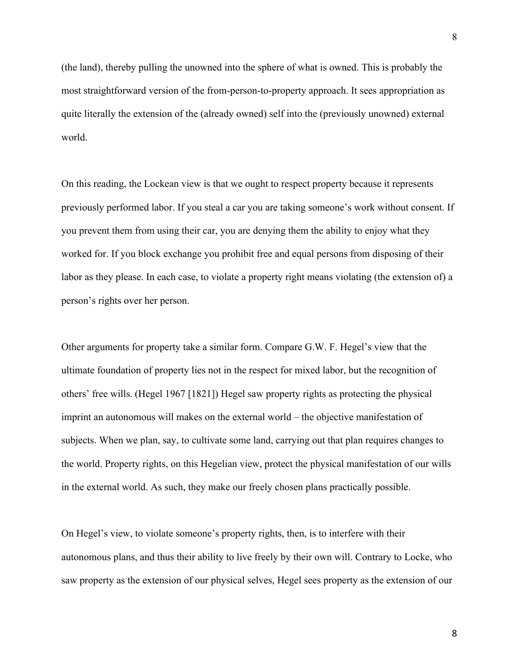(the land), thereby pulling the unowned into the sphere of what is owned. This is probably the most straightforward version of the from-person-to-property approach. It sees appropriation as quite literally the extension of the (already owned) self into the (previously unowned) external world.

On this reading, the Lockean view is that we ought to respect property because it represents previously performed labor. If you steal a car you are taking someone's work without consent. If you prevent them from using their car, you are denying them the ability to enjoy what they worked for. If you block exchange you prohibit free and equal persons from disposing of their labor as they please. In each case, to violate a property right means violating (the extension of) a person's rights over her person.

Other arguments for property take a similar form. Compare G.W. F. Hegel's view that the ultimate foundation of property lies not in the respect for mixed labor, but the recognition of others' free wills. (Hegel 1967 [1821]) Hegel saw property rights as protecting the physical imprint an autonomous will makes on the external world – the objective manifestation of subjects. When we plan, say, to cultivate some land, carrying out that plan requires changes to the world. Property rights, on this Hegelian view, protect the physical manifestation of our wills in the external world. As such, they make our freely chosen plans practically possible.

On Hegel's view, to violate someone's property rights, then, is to interfere with their autonomous plans, and thus their ability to live freely by their own will. Contrary to Locke, who saw property as the extension of our physical selves, Hegel sees property as the extension of our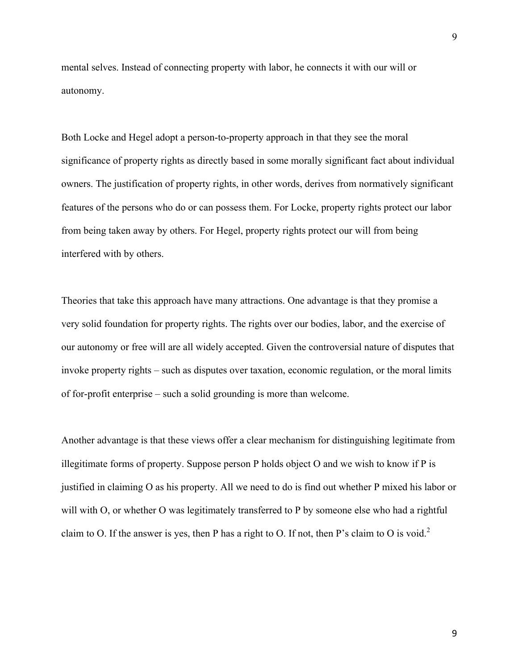mental selves. Instead of connecting property with labor, he connects it with our will or autonomy.

Both Locke and Hegel adopt a person-to-property approach in that they see the moral significance of property rights as directly based in some morally significant fact about individual owners. The justification of property rights, in other words, derives from normatively significant features of the persons who do or can possess them. For Locke, property rights protect our labor from being taken away by others. For Hegel, property rights protect our will from being interfered with by others.

Theories that take this approach have many attractions. One advantage is that they promise a very solid foundation for property rights. The rights over our bodies, labor, and the exercise of our autonomy or free will are all widely accepted. Given the controversial nature of disputes that invoke property rights – such as disputes over taxation, economic regulation, or the moral limits of for-profit enterprise – such a solid grounding is more than welcome.

Another advantage is that these views offer a clear mechanism for distinguishing legitimate from illegitimate forms of property. Suppose person P holds object O and we wish to know if P is justified in claiming O as his property. All we need to do is find out whether P mixed his labor or will with O, or whether O was legitimately transferred to P by someone else who had a rightful claim to O. If the answer is yes, then P has a right to O. If not, then P's claim to O is void.<sup>2</sup>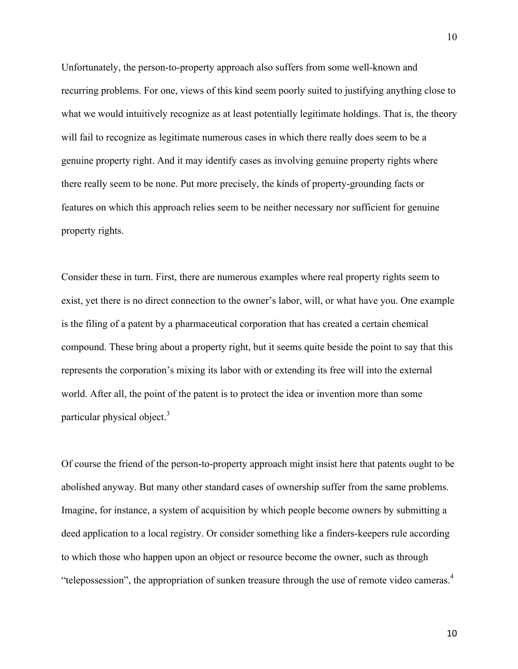Unfortunately, the person-to-property approach also suffers from some well-known and recurring problems. For one, views of this kind seem poorly suited to justifying anything close to what we would intuitively recognize as at least potentially legitimate holdings. That is, the theory will fail to recognize as legitimate numerous cases in which there really does seem to be a genuine property right. And it may identify cases as involving genuine property rights where there really seem to be none. Put more precisely, the kinds of property-grounding facts or features on which this approach relies seem to be neither necessary nor sufficient for genuine property rights.

Consider these in turn. First, there are numerous examples where real property rights seem to exist, yet there is no direct connection to the owner's labor, will, or what have you. One example is the filing of a patent by a pharmaceutical corporation that has created a certain chemical compound. These bring about a property right, but it seems quite beside the point to say that this represents the corporation's mixing its labor with or extending its free will into the external world. After all, the point of the patent is to protect the idea or invention more than some particular physical object.<sup>3</sup>

Of course the friend of the person-to-property approach might insist here that patents ought to be abolished anyway. But many other standard cases of ownership suffer from the same problems. Imagine, for instance, a system of acquisition by which people become owners by submitting a deed application to a local registry. Or consider something like a finders-keepers rule according to which those who happen upon an object or resource become the owner, such as through "telepossession", the appropriation of sunken treasure through the use of remote video cameras.<sup>4</sup>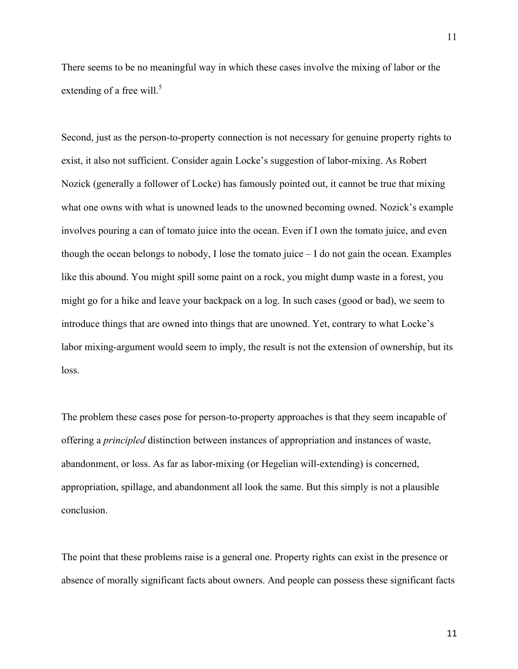There seems to be no meaningful way in which these cases involve the mixing of labor or the extending of a free will.<sup>5</sup>

Second, just as the person-to-property connection is not necessary for genuine property rights to exist, it also not sufficient. Consider again Locke's suggestion of labor-mixing. As Robert Nozick (generally a follower of Locke) has famously pointed out, it cannot be true that mixing what one owns with what is unowned leads to the unowned becoming owned. Nozick's example involves pouring a can of tomato juice into the ocean. Even if I own the tomato juice, and even though the ocean belongs to nobody, I lose the tomato juice  $-I$  do not gain the ocean. Examples like this abound. You might spill some paint on a rock, you might dump waste in a forest, you might go for a hike and leave your backpack on a log. In such cases (good or bad), we seem to introduce things that are owned into things that are unowned. Yet, contrary to what Locke's labor mixing-argument would seem to imply, the result is not the extension of ownership, but its loss.

The problem these cases pose for person-to-property approaches is that they seem incapable of offering a *principled* distinction between instances of appropriation and instances of waste, abandonment, or loss. As far as labor-mixing (or Hegelian will-extending) is concerned, appropriation, spillage, and abandonment all look the same. But this simply is not a plausible conclusion.

The point that these problems raise is a general one. Property rights can exist in the presence or absence of morally significant facts about owners. And people can possess these significant facts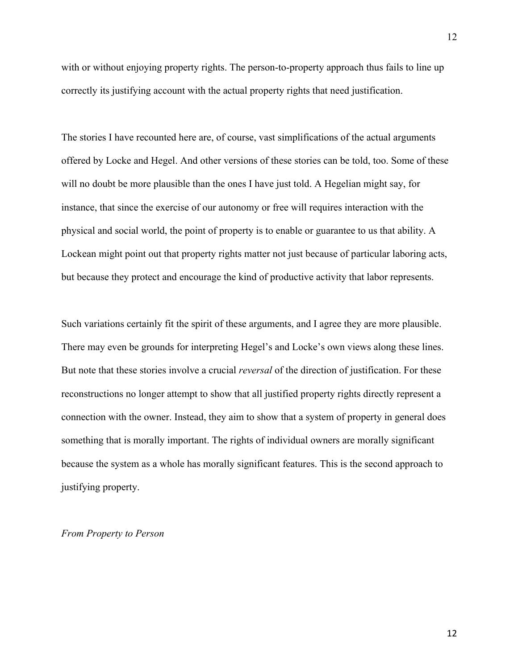with or without enjoying property rights. The person-to-property approach thus fails to line up correctly its justifying account with the actual property rights that need justification.

The stories I have recounted here are, of course, vast simplifications of the actual arguments offered by Locke and Hegel. And other versions of these stories can be told, too. Some of these will no doubt be more plausible than the ones I have just told. A Hegelian might say, for instance, that since the exercise of our autonomy or free will requires interaction with the physical and social world, the point of property is to enable or guarantee to us that ability. A Lockean might point out that property rights matter not just because of particular laboring acts, but because they protect and encourage the kind of productive activity that labor represents.

Such variations certainly fit the spirit of these arguments, and I agree they are more plausible. There may even be grounds for interpreting Hegel's and Locke's own views along these lines. But note that these stories involve a crucial *reversal* of the direction of justification. For these reconstructions no longer attempt to show that all justified property rights directly represent a connection with the owner. Instead, they aim to show that a system of property in general does something that is morally important. The rights of individual owners are morally significant because the system as a whole has morally significant features. This is the second approach to justifying property.

# *From Property to Person*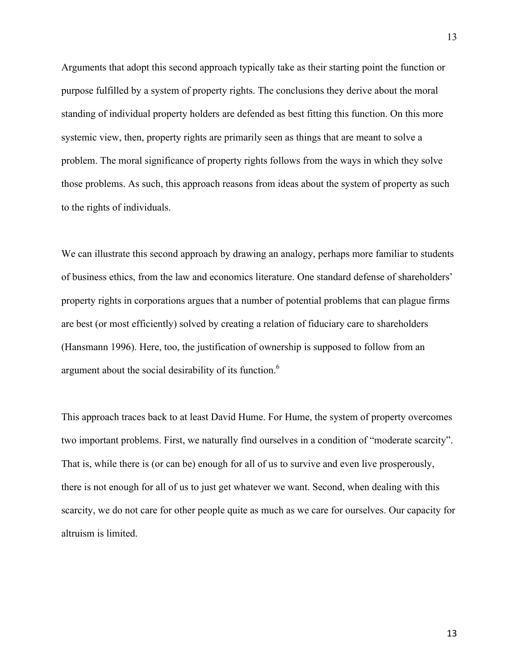Arguments that adopt this second approach typically take as their starting point the function or purpose fulfilled by a system of property rights. The conclusions they derive about the moral standing of individual property holders are defended as best fitting this function. On this more systemic view, then, property rights are primarily seen as things that are meant to solve a problem. The moral significance of property rights follows from the ways in which they solve those problems. As such, this approach reasons from ideas about the system of property as such to the rights of individuals.

We can illustrate this second approach by drawing an analogy, perhaps more familiar to students of business ethics, from the law and economics literature. One standard defense of shareholders' property rights in corporations argues that a number of potential problems that can plague firms are best (or most efficiently) solved by creating a relation of fiduciary care to shareholders (Hansmann 1996). Here, too, the justification of ownership is supposed to follow from an argument about the social desirability of its function.<sup>6</sup>

This approach traces back to at least David Hume. For Hume, the system of property overcomes two important problems. First, we naturally find ourselves in a condition of "moderate scarcity". That is, while there is (or can be) enough for all of us to survive and even live prosperously, there is not enough for all of us to just get whatever we want. Second, when dealing with this scarcity, we do not care for other people quite as much as we care for ourselves. Our capacity for altruism is limited.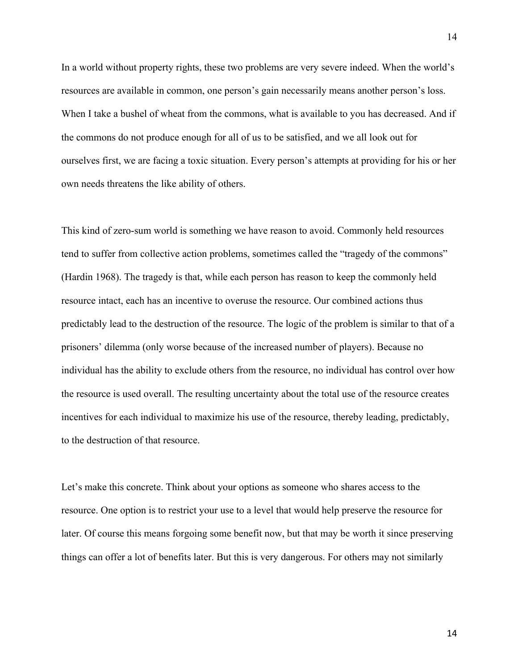In a world without property rights, these two problems are very severe indeed. When the world's resources are available in common, one person's gain necessarily means another person's loss. When I take a bushel of wheat from the commons, what is available to you has decreased. And if the commons do not produce enough for all of us to be satisfied, and we all look out for ourselves first, we are facing a toxic situation. Every person's attempts at providing for his or her own needs threatens the like ability of others.

This kind of zero-sum world is something we have reason to avoid. Commonly held resources tend to suffer from collective action problems, sometimes called the "tragedy of the commons" (Hardin 1968). The tragedy is that, while each person has reason to keep the commonly held resource intact, each has an incentive to overuse the resource. Our combined actions thus predictably lead to the destruction of the resource. The logic of the problem is similar to that of a prisoners' dilemma (only worse because of the increased number of players). Because no individual has the ability to exclude others from the resource, no individual has control over how the resource is used overall. The resulting uncertainty about the total use of the resource creates incentives for each individual to maximize his use of the resource, thereby leading, predictably, to the destruction of that resource.

Let's make this concrete. Think about your options as someone who shares access to the resource. One option is to restrict your use to a level that would help preserve the resource for later. Of course this means forgoing some benefit now, but that may be worth it since preserving things can offer a lot of benefits later. But this is very dangerous. For others may not similarly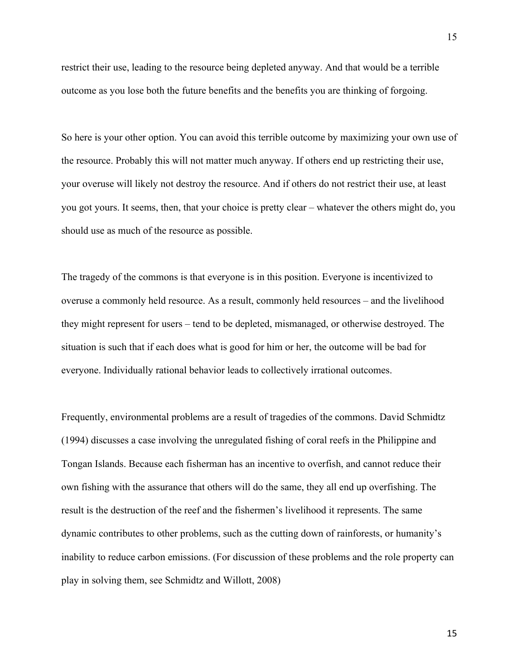restrict their use, leading to the resource being depleted anyway. And that would be a terrible outcome as you lose both the future benefits and the benefits you are thinking of forgoing.

So here is your other option. You can avoid this terrible outcome by maximizing your own use of the resource. Probably this will not matter much anyway. If others end up restricting their use, your overuse will likely not destroy the resource. And if others do not restrict their use, at least you got yours. It seems, then, that your choice is pretty clear – whatever the others might do, you should use as much of the resource as possible.

The tragedy of the commons is that everyone is in this position. Everyone is incentivized to overuse a commonly held resource. As a result, commonly held resources – and the livelihood they might represent for users – tend to be depleted, mismanaged, or otherwise destroyed. The situation is such that if each does what is good for him or her, the outcome will be bad for everyone. Individually rational behavior leads to collectively irrational outcomes.

Frequently, environmental problems are a result of tragedies of the commons. David Schmidtz (1994) discusses a case involving the unregulated fishing of coral reefs in the Philippine and Tongan Islands. Because each fisherman has an incentive to overfish, and cannot reduce their own fishing with the assurance that others will do the same, they all end up overfishing. The result is the destruction of the reef and the fishermen's livelihood it represents. The same dynamic contributes to other problems, such as the cutting down of rainforests, or humanity's inability to reduce carbon emissions. (For discussion of these problems and the role property can play in solving them, see Schmidtz and Willott, 2008)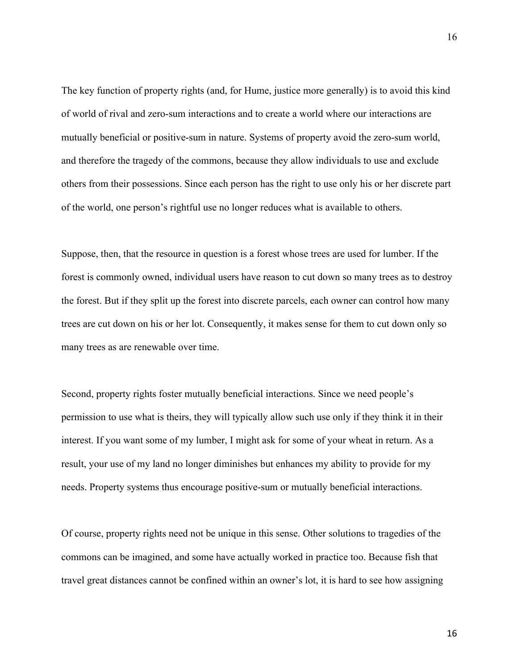The key function of property rights (and, for Hume, justice more generally) is to avoid this kind of world of rival and zero-sum interactions and to create a world where our interactions are mutually beneficial or positive-sum in nature. Systems of property avoid the zero-sum world, and therefore the tragedy of the commons, because they allow individuals to use and exclude others from their possessions. Since each person has the right to use only his or her discrete part of the world, one person's rightful use no longer reduces what is available to others.

Suppose, then, that the resource in question is a forest whose trees are used for lumber. If the forest is commonly owned, individual users have reason to cut down so many trees as to destroy the forest. But if they split up the forest into discrete parcels, each owner can control how many trees are cut down on his or her lot. Consequently, it makes sense for them to cut down only so many trees as are renewable over time.

Second, property rights foster mutually beneficial interactions. Since we need people's permission to use what is theirs, they will typically allow such use only if they think it in their interest. If you want some of my lumber, I might ask for some of your wheat in return. As a result, your use of my land no longer diminishes but enhances my ability to provide for my needs. Property systems thus encourage positive-sum or mutually beneficial interactions.

Of course, property rights need not be unique in this sense. Other solutions to tragedies of the commons can be imagined, and some have actually worked in practice too. Because fish that travel great distances cannot be confined within an owner's lot, it is hard to see how assigning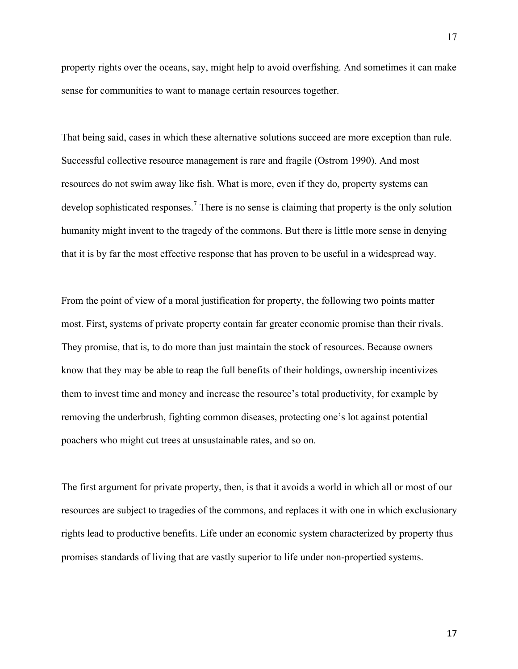property rights over the oceans, say, might help to avoid overfishing. And sometimes it can make sense for communities to want to manage certain resources together.

That being said, cases in which these alternative solutions succeed are more exception than rule. Successful collective resource management is rare and fragile (Ostrom 1990). And most resources do not swim away like fish. What is more, even if they do, property systems can develop sophisticated responses.<sup>7</sup> There is no sense is claiming that property is the only solution humanity might invent to the tragedy of the commons. But there is little more sense in denying that it is by far the most effective response that has proven to be useful in a widespread way.

From the point of view of a moral justification for property, the following two points matter most. First, systems of private property contain far greater economic promise than their rivals. They promise, that is, to do more than just maintain the stock of resources. Because owners know that they may be able to reap the full benefits of their holdings, ownership incentivizes them to invest time and money and increase the resource's total productivity, for example by removing the underbrush, fighting common diseases, protecting one's lot against potential poachers who might cut trees at unsustainable rates, and so on.

The first argument for private property, then, is that it avoids a world in which all or most of our resources are subject to tragedies of the commons, and replaces it with one in which exclusionary rights lead to productive benefits. Life under an economic system characterized by property thus promises standards of living that are vastly superior to life under non-propertied systems.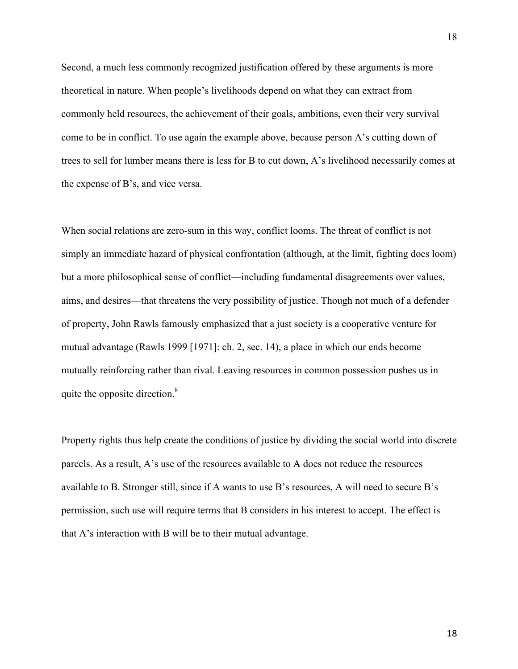Second, a much less commonly recognized justification offered by these arguments is more theoretical in nature. When people's livelihoods depend on what they can extract from commonly held resources, the achievement of their goals, ambitions, even their very survival come to be in conflict. To use again the example above, because person A's cutting down of trees to sell for lumber means there is less for B to cut down, A's livelihood necessarily comes at the expense of B's, and vice versa.

When social relations are zero-sum in this way, conflict looms. The threat of conflict is not simply an immediate hazard of physical confrontation (although, at the limit, fighting does loom) but a more philosophical sense of conflict—including fundamental disagreements over values, aims, and desires—that threatens the very possibility of justice. Though not much of a defender of property, John Rawls famously emphasized that a just society is a cooperative venture for mutual advantage (Rawls 1999 [1971]: ch. 2, sec. 14), a place in which our ends become mutually reinforcing rather than rival. Leaving resources in common possession pushes us in quite the opposite direction.<sup>8</sup>

Property rights thus help create the conditions of justice by dividing the social world into discrete parcels. As a result, A's use of the resources available to A does not reduce the resources available to B. Stronger still, since if A wants to use B's resources, A will need to secure B's permission, such use will require terms that B considers in his interest to accept. The effect is that A's interaction with B will be to their mutual advantage.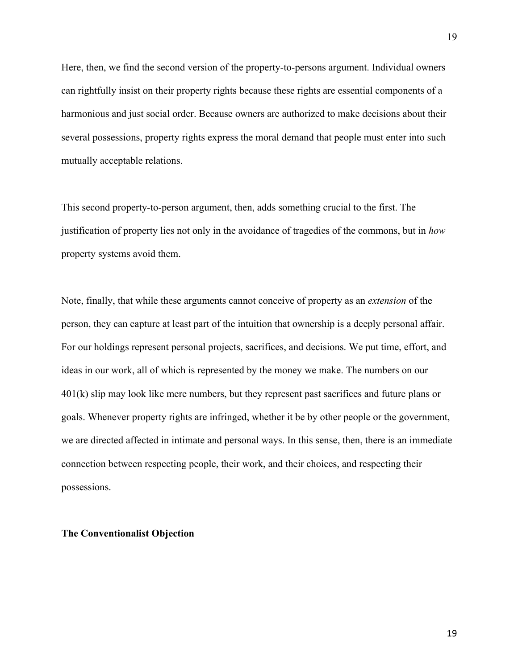Here, then, we find the second version of the property-to-persons argument. Individual owners can rightfully insist on their property rights because these rights are essential components of a harmonious and just social order. Because owners are authorized to make decisions about their several possessions, property rights express the moral demand that people must enter into such mutually acceptable relations.

This second property-to-person argument, then, adds something crucial to the first. The justification of property lies not only in the avoidance of tragedies of the commons, but in *how* property systems avoid them.

Note, finally, that while these arguments cannot conceive of property as an *extension* of the person, they can capture at least part of the intuition that ownership is a deeply personal affair. For our holdings represent personal projects, sacrifices, and decisions. We put time, effort, and ideas in our work, all of which is represented by the money we make. The numbers on our 401(k) slip may look like mere numbers, but they represent past sacrifices and future plans or goals. Whenever property rights are infringed, whether it be by other people or the government, we are directed affected in intimate and personal ways. In this sense, then, there is an immediate connection between respecting people, their work, and their choices, and respecting their possessions.

# **The Conventionalist Objection**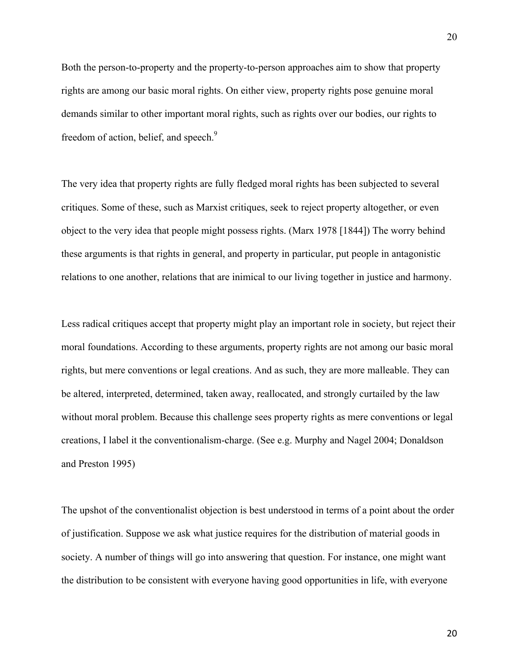Both the person-to-property and the property-to-person approaches aim to show that property rights are among our basic moral rights. On either view, property rights pose genuine moral demands similar to other important moral rights, such as rights over our bodies, our rights to freedom of action, belief, and speech.<sup>9</sup>

The very idea that property rights are fully fledged moral rights has been subjected to several critiques. Some of these, such as Marxist critiques, seek to reject property altogether, or even object to the very idea that people might possess rights. (Marx 1978 [1844]) The worry behind these arguments is that rights in general, and property in particular, put people in antagonistic relations to one another, relations that are inimical to our living together in justice and harmony.

Less radical critiques accept that property might play an important role in society, but reject their moral foundations. According to these arguments, property rights are not among our basic moral rights, but mere conventions or legal creations. And as such, they are more malleable. They can be altered, interpreted, determined, taken away, reallocated, and strongly curtailed by the law without moral problem. Because this challenge sees property rights as mere conventions or legal creations, I label it the conventionalism-charge. (See e.g. Murphy and Nagel 2004; Donaldson and Preston 1995)

The upshot of the conventionalist objection is best understood in terms of a point about the order of justification. Suppose we ask what justice requires for the distribution of material goods in society. A number of things will go into answering that question. For instance, one might want the distribution to be consistent with everyone having good opportunities in life, with everyone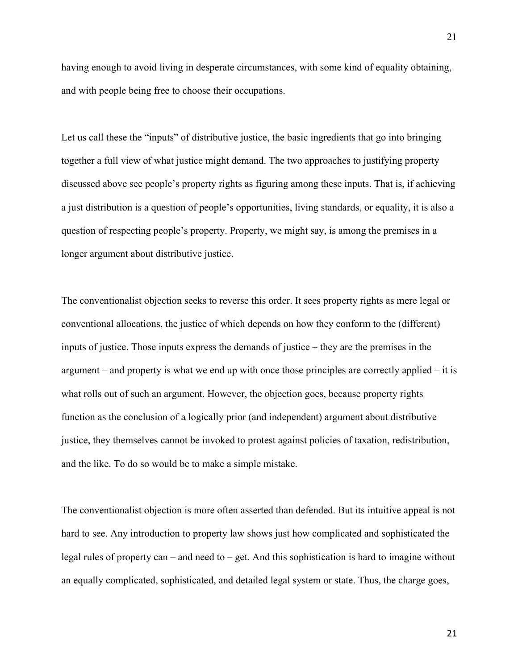having enough to avoid living in desperate circumstances, with some kind of equality obtaining, and with people being free to choose their occupations.

Let us call these the "inputs" of distributive justice, the basic ingredients that go into bringing together a full view of what justice might demand. The two approaches to justifying property discussed above see people's property rights as figuring among these inputs. That is, if achieving a just distribution is a question of people's opportunities, living standards, or equality, it is also a question of respecting people's property. Property, we might say, is among the premises in a longer argument about distributive justice.

The conventionalist objection seeks to reverse this order. It sees property rights as mere legal or conventional allocations, the justice of which depends on how they conform to the (different) inputs of justice. Those inputs express the demands of justice – they are the premises in the argument – and property is what we end up with once those principles are correctly applied – it is what rolls out of such an argument. However, the objection goes, because property rights function as the conclusion of a logically prior (and independent) argument about distributive justice, they themselves cannot be invoked to protest against policies of taxation, redistribution, and the like. To do so would be to make a simple mistake.

The conventionalist objection is more often asserted than defended. But its intuitive appeal is not hard to see. Any introduction to property law shows just how complicated and sophisticated the legal rules of property can – and need to – get. And this sophistication is hard to imagine without an equally complicated, sophisticated, and detailed legal system or state. Thus, the charge goes,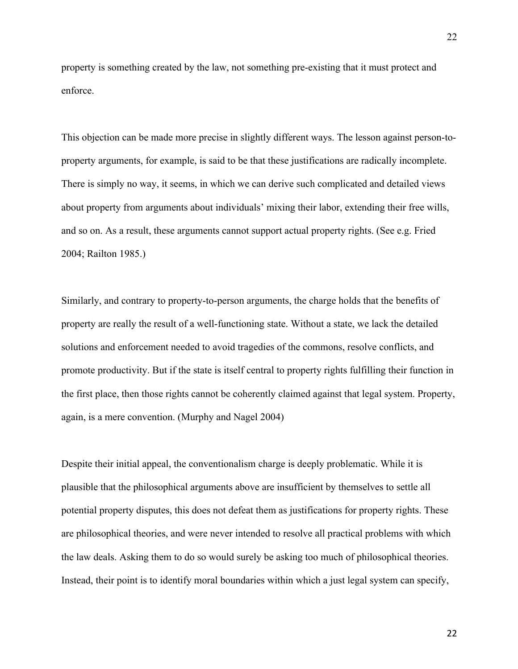property is something created by the law, not something pre-existing that it must protect and enforce.

This objection can be made more precise in slightly different ways. The lesson against person-toproperty arguments, for example, is said to be that these justifications are radically incomplete. There is simply no way, it seems, in which we can derive such complicated and detailed views about property from arguments about individuals' mixing their labor, extending their free wills, and so on. As a result, these arguments cannot support actual property rights. (See e.g. Fried 2004; Railton 1985.)

Similarly, and contrary to property-to-person arguments, the charge holds that the benefits of property are really the result of a well-functioning state. Without a state, we lack the detailed solutions and enforcement needed to avoid tragedies of the commons, resolve conflicts, and promote productivity. But if the state is itself central to property rights fulfilling their function in the first place, then those rights cannot be coherently claimed against that legal system. Property, again, is a mere convention. (Murphy and Nagel 2004)

Despite their initial appeal, the conventionalism charge is deeply problematic. While it is plausible that the philosophical arguments above are insufficient by themselves to settle all potential property disputes, this does not defeat them as justifications for property rights. These are philosophical theories, and were never intended to resolve all practical problems with which the law deals. Asking them to do so would surely be asking too much of philosophical theories. Instead, their point is to identify moral boundaries within which a just legal system can specify,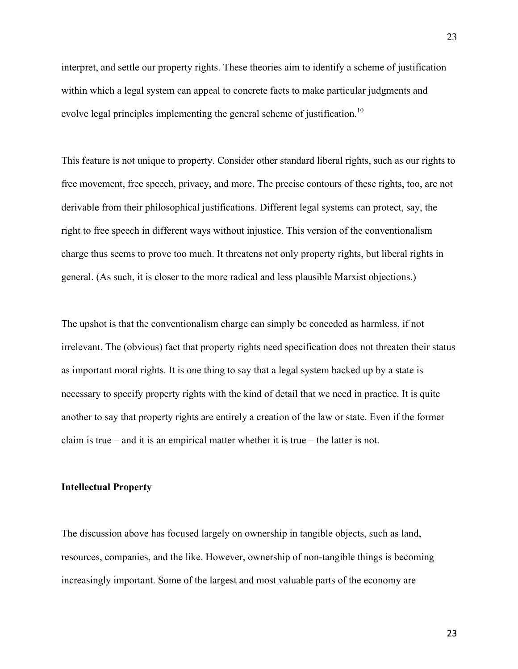interpret, and settle our property rights. These theories aim to identify a scheme of justification within which a legal system can appeal to concrete facts to make particular judgments and evolve legal principles implementing the general scheme of justification.<sup>10</sup>

This feature is not unique to property. Consider other standard liberal rights, such as our rights to free movement, free speech, privacy, and more. The precise contours of these rights, too, are not derivable from their philosophical justifications. Different legal systems can protect, say, the right to free speech in different ways without injustice. This version of the conventionalism charge thus seems to prove too much. It threatens not only property rights, but liberal rights in general. (As such, it is closer to the more radical and less plausible Marxist objections.)

The upshot is that the conventionalism charge can simply be conceded as harmless, if not irrelevant. The (obvious) fact that property rights need specification does not threaten their status as important moral rights. It is one thing to say that a legal system backed up by a state is necessary to specify property rights with the kind of detail that we need in practice. It is quite another to say that property rights are entirely a creation of the law or state. Even if the former claim is true – and it is an empirical matter whether it is true – the latter is not.

#### **Intellectual Property**

The discussion above has focused largely on ownership in tangible objects, such as land, resources, companies, and the like. However, ownership of non-tangible things is becoming increasingly important. Some of the largest and most valuable parts of the economy are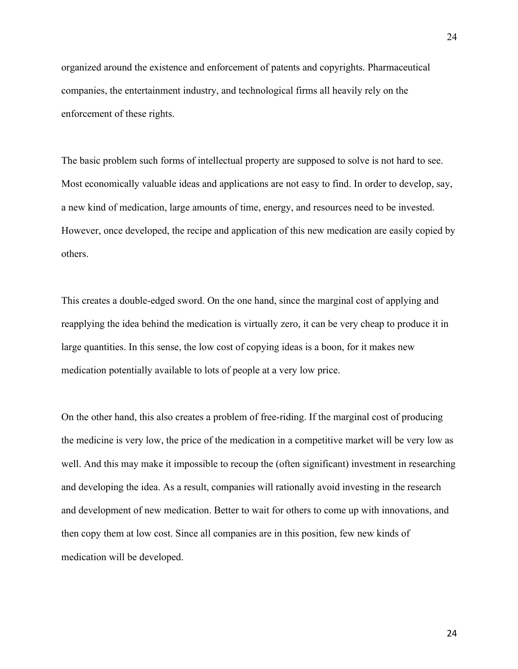organized around the existence and enforcement of patents and copyrights. Pharmaceutical companies, the entertainment industry, and technological firms all heavily rely on the enforcement of these rights.

The basic problem such forms of intellectual property are supposed to solve is not hard to see. Most economically valuable ideas and applications are not easy to find. In order to develop, say, a new kind of medication, large amounts of time, energy, and resources need to be invested. However, once developed, the recipe and application of this new medication are easily copied by others.

This creates a double-edged sword. On the one hand, since the marginal cost of applying and reapplying the idea behind the medication is virtually zero, it can be very cheap to produce it in large quantities. In this sense, the low cost of copying ideas is a boon, for it makes new medication potentially available to lots of people at a very low price.

On the other hand, this also creates a problem of free-riding. If the marginal cost of producing the medicine is very low, the price of the medication in a competitive market will be very low as well. And this may make it impossible to recoup the (often significant) investment in researching and developing the idea. As a result, companies will rationally avoid investing in the research and development of new medication. Better to wait for others to come up with innovations, and then copy them at low cost. Since all companies are in this position, few new kinds of medication will be developed.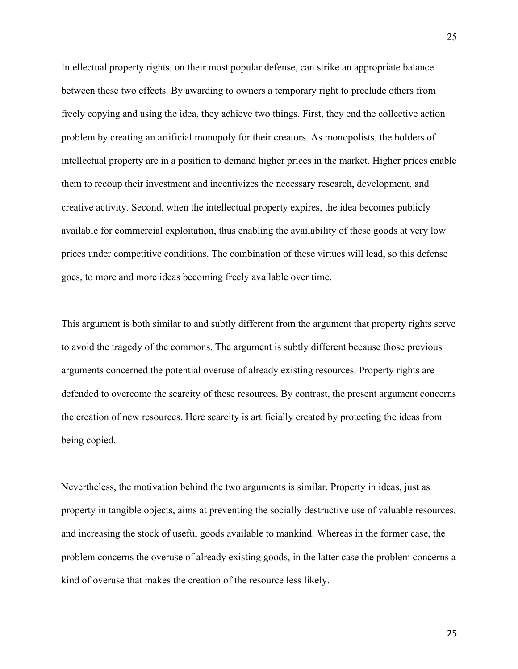Intellectual property rights, on their most popular defense, can strike an appropriate balance between these two effects. By awarding to owners a temporary right to preclude others from freely copying and using the idea, they achieve two things. First, they end the collective action problem by creating an artificial monopoly for their creators. As monopolists, the holders of intellectual property are in a position to demand higher prices in the market. Higher prices enable them to recoup their investment and incentivizes the necessary research, development, and creative activity. Second, when the intellectual property expires, the idea becomes publicly available for commercial exploitation, thus enabling the availability of these goods at very low prices under competitive conditions. The combination of these virtues will lead, so this defense goes, to more and more ideas becoming freely available over time.

This argument is both similar to and subtly different from the argument that property rights serve to avoid the tragedy of the commons. The argument is subtly different because those previous arguments concerned the potential overuse of already existing resources. Property rights are defended to overcome the scarcity of these resources. By contrast, the present argument concerns the creation of new resources. Here scarcity is artificially created by protecting the ideas from being copied.

Nevertheless, the motivation behind the two arguments is similar. Property in ideas, just as property in tangible objects, aims at preventing the socially destructive use of valuable resources, and increasing the stock of useful goods available to mankind. Whereas in the former case, the problem concerns the overuse of already existing goods, in the latter case the problem concerns a kind of overuse that makes the creation of the resource less likely.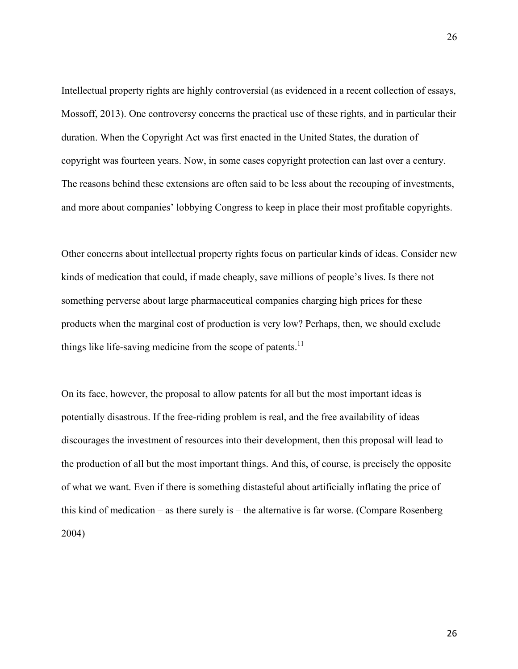Intellectual property rights are highly controversial (as evidenced in a recent collection of essays, Mossoff, 2013). One controversy concerns the practical use of these rights, and in particular their duration. When the Copyright Act was first enacted in the United States, the duration of copyright was fourteen years. Now, in some cases copyright protection can last over a century. The reasons behind these extensions are often said to be less about the recouping of investments, and more about companies' lobbying Congress to keep in place their most profitable copyrights.

Other concerns about intellectual property rights focus on particular kinds of ideas. Consider new kinds of medication that could, if made cheaply, save millions of people's lives. Is there not something perverse about large pharmaceutical companies charging high prices for these products when the marginal cost of production is very low? Perhaps, then, we should exclude things like life-saving medicine from the scope of patents. $^{11}$ 

On its face, however, the proposal to allow patents for all but the most important ideas is potentially disastrous. If the free-riding problem is real, and the free availability of ideas discourages the investment of resources into their development, then this proposal will lead to the production of all but the most important things. And this, of course, is precisely the opposite of what we want. Even if there is something distasteful about artificially inflating the price of this kind of medication – as there surely is – the alternative is far worse. (Compare Rosenberg 2004)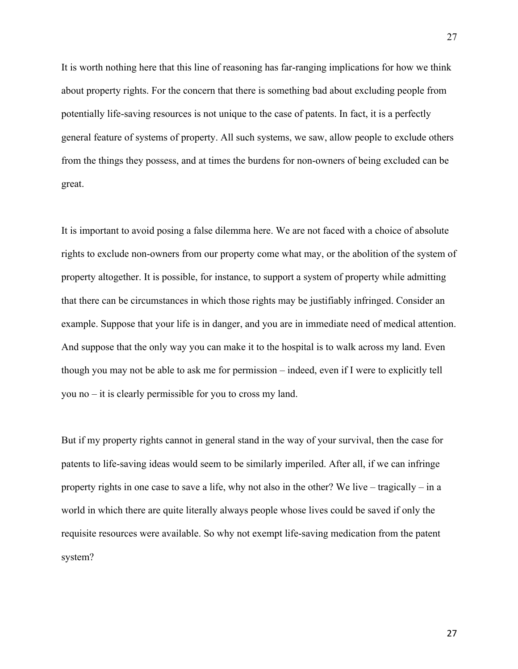It is worth nothing here that this line of reasoning has far-ranging implications for how we think about property rights. For the concern that there is something bad about excluding people from potentially life-saving resources is not unique to the case of patents. In fact, it is a perfectly general feature of systems of property. All such systems, we saw, allow people to exclude others from the things they possess, and at times the burdens for non-owners of being excluded can be great.

It is important to avoid posing a false dilemma here. We are not faced with a choice of absolute rights to exclude non-owners from our property come what may, or the abolition of the system of property altogether. It is possible, for instance, to support a system of property while admitting that there can be circumstances in which those rights may be justifiably infringed. Consider an example. Suppose that your life is in danger, and you are in immediate need of medical attention. And suppose that the only way you can make it to the hospital is to walk across my land. Even though you may not be able to ask me for permission – indeed, even if I were to explicitly tell you no – it is clearly permissible for you to cross my land.

But if my property rights cannot in general stand in the way of your survival, then the case for patents to life-saving ideas would seem to be similarly imperiled. After all, if we can infringe property rights in one case to save a life, why not also in the other? We live – tragically – in a world in which there are quite literally always people whose lives could be saved if only the requisite resources were available. So why not exempt life-saving medication from the patent system?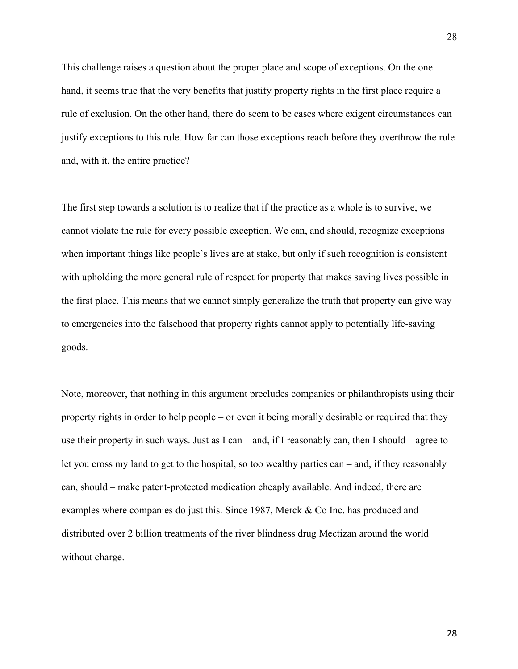This challenge raises a question about the proper place and scope of exceptions. On the one hand, it seems true that the very benefits that justify property rights in the first place require a rule of exclusion. On the other hand, there do seem to be cases where exigent circumstances can justify exceptions to this rule. How far can those exceptions reach before they overthrow the rule and, with it, the entire practice?

The first step towards a solution is to realize that if the practice as a whole is to survive, we cannot violate the rule for every possible exception. We can, and should, recognize exceptions when important things like people's lives are at stake, but only if such recognition is consistent with upholding the more general rule of respect for property that makes saving lives possible in the first place. This means that we cannot simply generalize the truth that property can give way to emergencies into the falsehood that property rights cannot apply to potentially life-saving goods.

Note, moreover, that nothing in this argument precludes companies or philanthropists using their property rights in order to help people – or even it being morally desirable or required that they use their property in such ways. Just as I can – and, if I reasonably can, then I should – agree to let you cross my land to get to the hospital, so too wealthy parties can – and, if they reasonably can, should – make patent-protected medication cheaply available. And indeed, there are examples where companies do just this. Since 1987, Merck & Co Inc. has produced and distributed over 2 billion treatments of the river blindness drug Mectizan around the world without charge.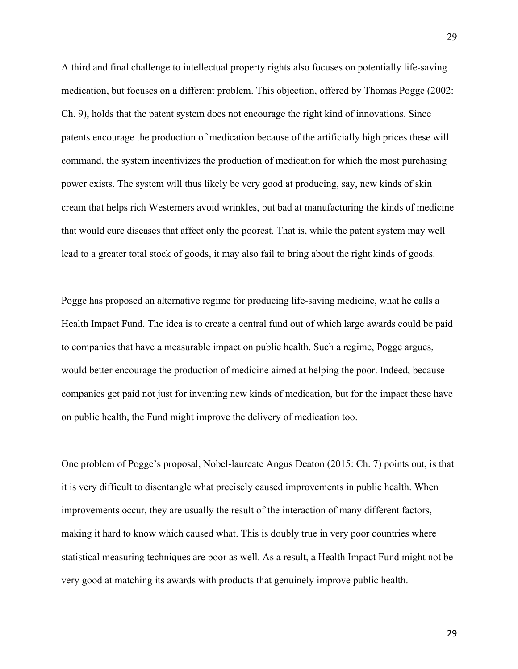A third and final challenge to intellectual property rights also focuses on potentially life-saving medication, but focuses on a different problem. This objection, offered by Thomas Pogge (2002: Ch. 9), holds that the patent system does not encourage the right kind of innovations. Since patents encourage the production of medication because of the artificially high prices these will command, the system incentivizes the production of medication for which the most purchasing power exists. The system will thus likely be very good at producing, say, new kinds of skin cream that helps rich Westerners avoid wrinkles, but bad at manufacturing the kinds of medicine that would cure diseases that affect only the poorest. That is, while the patent system may well lead to a greater total stock of goods, it may also fail to bring about the right kinds of goods.

Pogge has proposed an alternative regime for producing life-saving medicine, what he calls a Health Impact Fund. The idea is to create a central fund out of which large awards could be paid to companies that have a measurable impact on public health. Such a regime, Pogge argues, would better encourage the production of medicine aimed at helping the poor. Indeed, because companies get paid not just for inventing new kinds of medication, but for the impact these have on public health, the Fund might improve the delivery of medication too.

One problem of Pogge's proposal, Nobel-laureate Angus Deaton (2015: Ch. 7) points out, is that it is very difficult to disentangle what precisely caused improvements in public health. When improvements occur, they are usually the result of the interaction of many different factors, making it hard to know which caused what. This is doubly true in very poor countries where statistical measuring techniques are poor as well. As a result, a Health Impact Fund might not be very good at matching its awards with products that genuinely improve public health.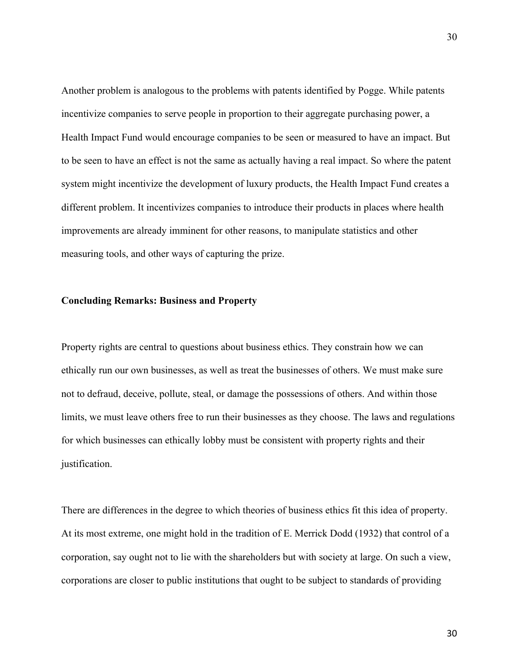Another problem is analogous to the problems with patents identified by Pogge. While patents incentivize companies to serve people in proportion to their aggregate purchasing power, a Health Impact Fund would encourage companies to be seen or measured to have an impact. But to be seen to have an effect is not the same as actually having a real impact. So where the patent system might incentivize the development of luxury products, the Health Impact Fund creates a different problem. It incentivizes companies to introduce their products in places where health improvements are already imminent for other reasons, to manipulate statistics and other measuring tools, and other ways of capturing the prize.

#### **Concluding Remarks: Business and Property**

Property rights are central to questions about business ethics. They constrain how we can ethically run our own businesses, as well as treat the businesses of others. We must make sure not to defraud, deceive, pollute, steal, or damage the possessions of others. And within those limits, we must leave others free to run their businesses as they choose. The laws and regulations for which businesses can ethically lobby must be consistent with property rights and their justification.

There are differences in the degree to which theories of business ethics fit this idea of property. At its most extreme, one might hold in the tradition of E. Merrick Dodd (1932) that control of a corporation, say ought not to lie with the shareholders but with society at large. On such a view, corporations are closer to public institutions that ought to be subject to standards of providing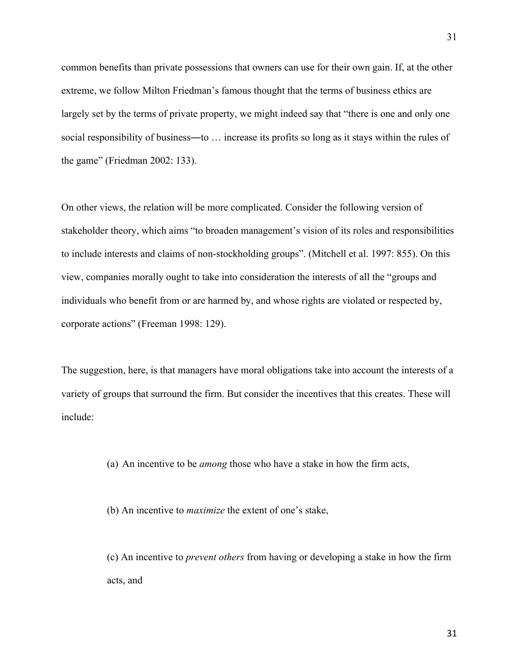common benefits than private possessions that owners can use for their own gain. If, at the other extreme, we follow Milton Friedman's famous thought that the terms of business ethics are largely set by the terms of private property, we might indeed say that "there is one and only one social responsibility of business—to ... increase its profits so long as it stays within the rules of the game" (Friedman 2002: 133).

On other views, the relation will be more complicated. Consider the following version of stakeholder theory, which aims "to broaden management's vision of its roles and responsibilities to include interests and claims of non-stockholding groups". (Mitchell et al. 1997: 855). On this view, companies morally ought to take into consideration the interests of all the "groups and individuals who benefit from or are harmed by, and whose rights are violated or respected by, corporate actions" (Freeman 1998: 129).

The suggestion, here, is that managers have moral obligations take into account the interests of a variety of groups that surround the firm. But consider the incentives that this creates. These will include:

(a) An incentive to be *among* those who have a stake in how the firm acts,

(b) An incentive to *maximize* the extent of one's stake,

(c) An incentive to *prevent others* from having or developing a stake in how the firm acts, and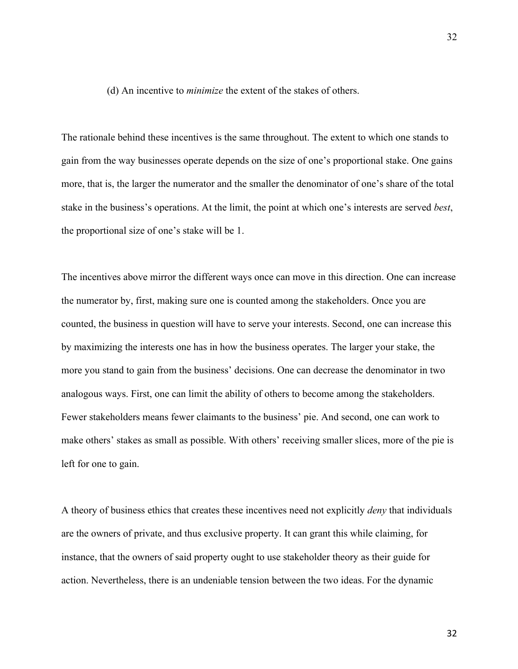(d) An incentive to *minimize* the extent of the stakes of others.

The rationale behind these incentives is the same throughout. The extent to which one stands to gain from the way businesses operate depends on the size of one's proportional stake. One gains more, that is, the larger the numerator and the smaller the denominator of one's share of the total stake in the business's operations. At the limit, the point at which one's interests are served *best*, the proportional size of one's stake will be 1.

The incentives above mirror the different ways once can move in this direction. One can increase the numerator by, first, making sure one is counted among the stakeholders. Once you are counted, the business in question will have to serve your interests. Second, one can increase this by maximizing the interests one has in how the business operates. The larger your stake, the more you stand to gain from the business' decisions. One can decrease the denominator in two analogous ways. First, one can limit the ability of others to become among the stakeholders. Fewer stakeholders means fewer claimants to the business' pie. And second, one can work to make others' stakes as small as possible. With others' receiving smaller slices, more of the pie is left for one to gain.

A theory of business ethics that creates these incentives need not explicitly *deny* that individuals are the owners of private, and thus exclusive property. It can grant this while claiming, for instance, that the owners of said property ought to use stakeholder theory as their guide for action. Nevertheless, there is an undeniable tension between the two ideas. For the dynamic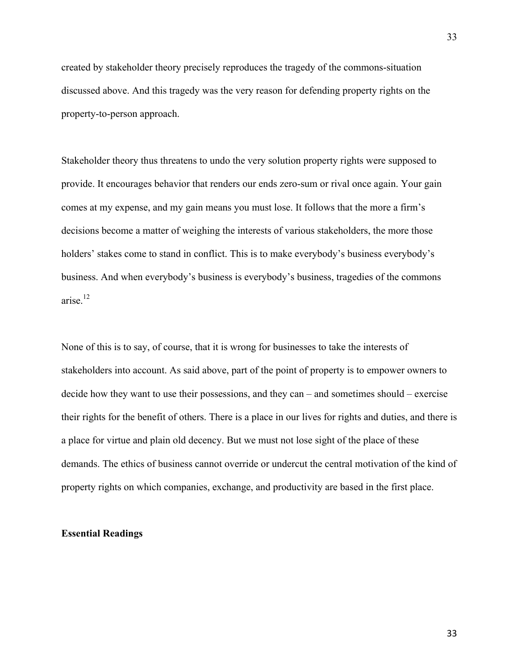created by stakeholder theory precisely reproduces the tragedy of the commons-situation discussed above. And this tragedy was the very reason for defending property rights on the property-to-person approach.

Stakeholder theory thus threatens to undo the very solution property rights were supposed to provide. It encourages behavior that renders our ends zero-sum or rival once again. Your gain comes at my expense, and my gain means you must lose. It follows that the more a firm's decisions become a matter of weighing the interests of various stakeholders, the more those holders' stakes come to stand in conflict. This is to make everybody's business everybody's business. And when everybody's business is everybody's business, tragedies of the commons arise. $12$ 

None of this is to say, of course, that it is wrong for businesses to take the interests of stakeholders into account. As said above, part of the point of property is to empower owners to decide how they want to use their possessions, and they can – and sometimes should – exercise their rights for the benefit of others. There is a place in our lives for rights and duties, and there is a place for virtue and plain old decency. But we must not lose sight of the place of these demands. The ethics of business cannot override or undercut the central motivation of the kind of property rights on which companies, exchange, and productivity are based in the first place.

### **Essential Readings**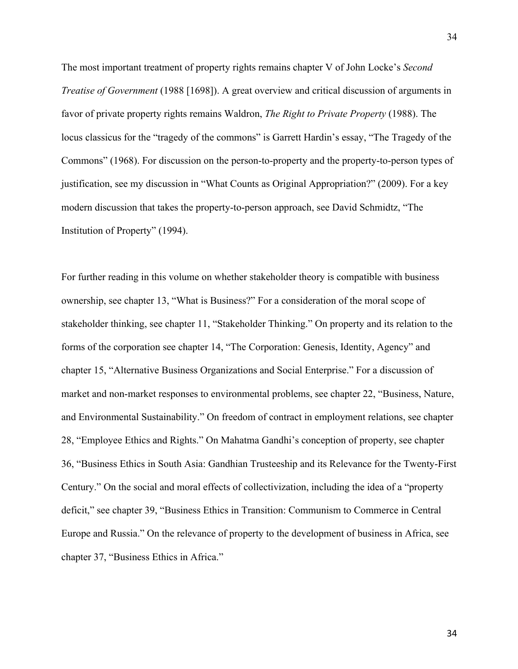The most important treatment of property rights remains chapter V of John Locke's *Second Treatise of Government* (1988 [1698]). A great overview and critical discussion of arguments in favor of private property rights remains Waldron, *The Right to Private Property* (1988). The locus classicus for the "tragedy of the commons" is Garrett Hardin's essay, "The Tragedy of the Commons" (1968). For discussion on the person-to-property and the property-to-person types of justification, see my discussion in "What Counts as Original Appropriation?" (2009). For a key modern discussion that takes the property-to-person approach, see David Schmidtz, "The Institution of Property" (1994).

For further reading in this volume on whether stakeholder theory is compatible with business ownership, see chapter 13, "What is Business?" For a consideration of the moral scope of stakeholder thinking, see chapter 11, "Stakeholder Thinking." On property and its relation to the forms of the corporation see chapter 14, "The Corporation: Genesis, Identity, Agency" and chapter 15, "Alternative Business Organizations and Social Enterprise." For a discussion of market and non-market responses to environmental problems, see chapter 22, "Business, Nature, and Environmental Sustainability." On freedom of contract in employment relations, see chapter 28, "Employee Ethics and Rights." On Mahatma Gandhi's conception of property, see chapter 36, "Business Ethics in South Asia: Gandhian Trusteeship and its Relevance for the Twenty-First Century." On the social and moral effects of collectivization, including the idea of a "property deficit," see chapter 39, "Business Ethics in Transition: Communism to Commerce in Central Europe and Russia." On the relevance of property to the development of business in Africa, see chapter 37, "Business Ethics in Africa."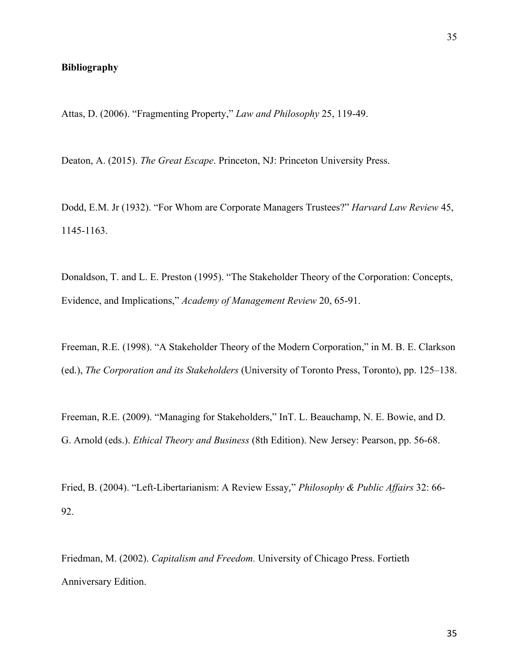### **Bibliography**

Attas, D. (2006). "Fragmenting Property," *Law and Philosophy* 25, 119-49.

Deaton, A. (2015). *The Great Escape*. Princeton, NJ: Princeton University Press.

Dodd, E.M. Jr (1932). "For Whom are Corporate Managers Trustees?" *Harvard Law Review* 45, 1145-1163.

Donaldson, T. and L. E. Preston (1995). "The Stakeholder Theory of the Corporation: Concepts, Evidence, and Implications," *Academy of Management Review* 20, 65-91.

Freeman, R.E. (1998). "A Stakeholder Theory of the Modern Corporation," in M. B. E. Clarkson (ed.), *The Corporation and its Stakeholders* (University of Toronto Press, Toronto), pp. 125–138.

Freeman, R.E. (2009). "Managing for Stakeholders," InT. L. Beauchamp, N. E. Bowie, and D. G. Arnold (eds.). *Ethical Theory and Business* (8th Edition). New Jersey: Pearson, pp. 56-68.

Fried, B. (2004). "Left-Libertarianism: A Review Essay," *Philosophy & Public Affairs* 32: 66- 92.

Friedman, M. (2002). *Capitalism and Freedom.* University of Chicago Press. Fortieth Anniversary Edition.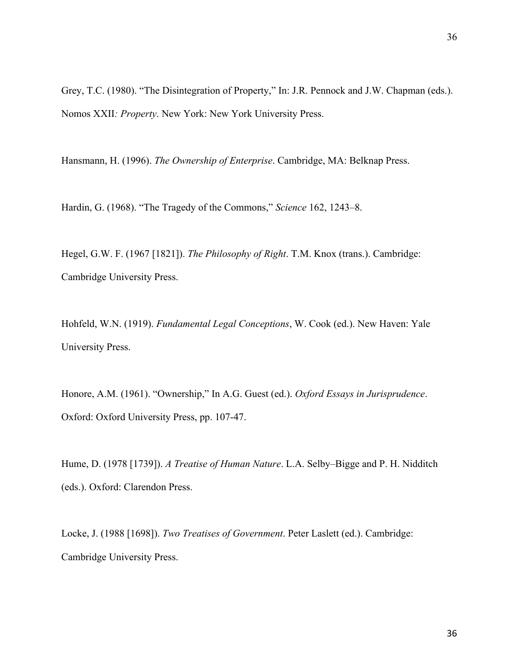Grey, T.C. (1980). "The Disintegration of Property," In: J.R. Pennock and J.W. Chapman (eds.). Nomos XXII*: Property*. New York: New York University Press.

Hansmann, H. (1996). *The Ownership of Enterprise*. Cambridge, MA: Belknap Press.

Hardin, G. (1968). "The Tragedy of the Commons," *Science* 162, 1243–8.

Hegel, G.W. F. (1967 [1821]). *The Philosophy of Right*. T.M. Knox (trans.). Cambridge: Cambridge University Press.

Hohfeld, W.N. (1919). *Fundamental Legal Conceptions*, W. Cook (ed.). New Haven: Yale University Press.

Honore, A.M. (1961). "Ownership," In A.G. Guest (ed.). *Oxford Essays in Jurisprudence*. Oxford: Oxford University Press, pp. 107-47.

Hume, D. (1978 [1739]). *A Treatise of Human Nature*. L.A. Selby–Bigge and P. H. Nidditch (eds.). Oxford: Clarendon Press.

Locke, J. (1988 [1698]). *Two Treatises of Government*. Peter Laslett (ed.). Cambridge: Cambridge University Press.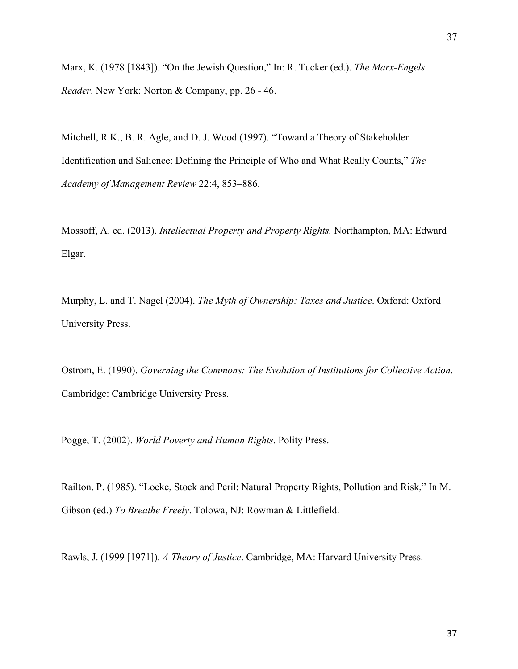Marx, K. (1978 [1843]). "On the Jewish Question," In: R. Tucker (ed.). *The Marx-Engels Reader*. New York: Norton & Company, pp. 26 - 46.

Mitchell, R.K., B. R. Agle, and D. J. Wood (1997). "Toward a Theory of Stakeholder Identification and Salience: Defining the Principle of Who and What Really Counts," *The Academy of Management Review* 22:4, 853–886.

Mossoff, A. ed. (2013). *Intellectual Property and Property Rights.* Northampton, MA: Edward Elgar.

Murphy, L. and T. Nagel (2004). *The Myth of Ownership: Taxes and Justice*. Oxford: Oxford University Press.

Ostrom, E. (1990). *Governing the Commons: The Evolution of Institutions for Collective Action*. Cambridge: Cambridge University Press.

Pogge, T. (2002). *World Poverty and Human Rights*. Polity Press.

Railton, P. (1985). "Locke, Stock and Peril: Natural Property Rights, Pollution and Risk," In M. Gibson (ed.) *To Breathe Freely*. Tolowa, NJ: Rowman & Littlefield.

Rawls, J. (1999 [1971]). *A Theory of Justice*. Cambridge, MA: Harvard University Press.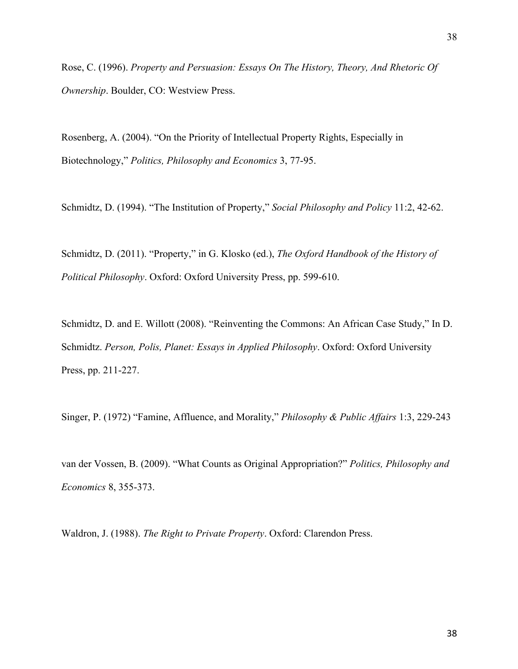Rose, C. (1996). *Property and Persuasion: Essays On The History, Theory, And Rhetoric Of Ownership*. Boulder, CO: Westview Press.

Rosenberg, A. (2004). "On the Priority of Intellectual Property Rights, Especially in Biotechnology," *Politics, Philosophy and Economics* 3, 77-95.

Schmidtz, D. (1994). "The Institution of Property," *Social Philosophy and Policy* 11:2, 42-62.

Schmidtz, D. (2011). "Property," in G. Klosko (ed.), *The Oxford Handbook of the History of Political Philosophy*. Oxford: Oxford University Press, pp. 599-610.

Schmidtz, D. and E. Willott (2008). "Reinventing the Commons: An African Case Study," In D. Schmidtz. *Person, Polis, Planet: Essays in Applied Philosophy*. Oxford: Oxford University Press, pp. 211-227.

Singer, P. (1972) "Famine, Affluence, and Morality," *Philosophy & Public Affairs* 1:3, 229-243

van der Vossen, B. (2009). "What Counts as Original Appropriation?" *Politics, Philosophy and Economics* 8, 355-373.

Waldron, J. (1988). *The Right to Private Property*. Oxford: Clarendon Press.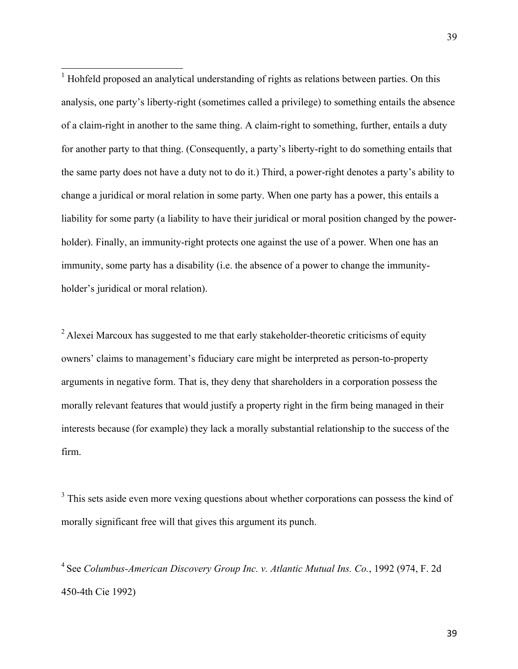$1$  Hohfeld proposed an analytical understanding of rights as relations between parties. On this analysis, one party's liberty-right (sometimes called a privilege) to something entails the absence of a claim-right in another to the same thing. A claim-right to something, further, entails a duty for another party to that thing. (Consequently, a party's liberty-right to do something entails that the same party does not have a duty not to do it.) Third, a power-right denotes a party's ability to change a juridical or moral relation in some party. When one party has a power, this entails a liability for some party (a liability to have their juridical or moral position changed by the powerholder). Finally, an immunity-right protects one against the use of a power. When one has an immunity, some party has a disability (i.e. the absence of a power to change the immunityholder's juridical or moral relation).  $\overline{a}$ 

 $2$  Alexei Marcoux has suggested to me that early stakeholder-theoretic criticisms of equity owners' claims to management's fiduciary care might be interpreted as person-to-property arguments in negative form. That is, they deny that shareholders in a corporation possess the morally relevant features that would justify a property right in the firm being managed in their interests because (for example) they lack a morally substantial relationship to the success of the firm.

<sup>3</sup> This sets aside even more vexing questions about whether corporations can possess the kind of morally significant free will that gives this argument its punch.

<sup>4</sup> See *Columbus-American Discovery Group Inc. v. Atlantic Mutual Ins. Co.*, 1992 (974, F. 2d 450-4th Cie 1992)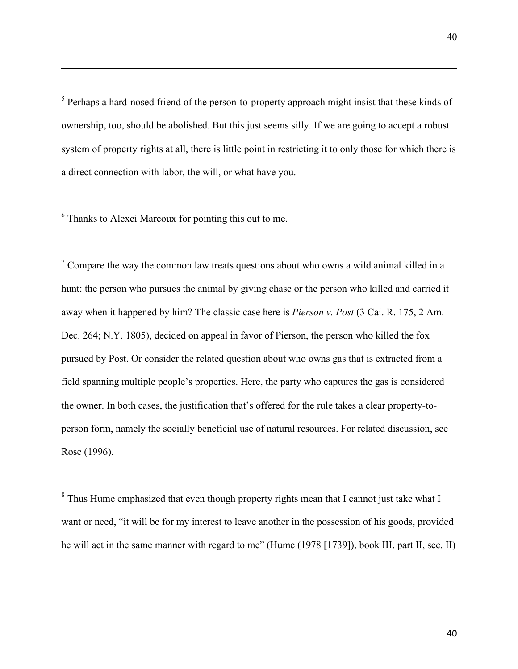<sup>5</sup> Perhaps a hard-nosed friend of the person-to-property approach might insist that these kinds of ownership, too, should be abolished. But this just seems silly. If we are going to accept a robust system of property rights at all, there is little point in restricting it to only those for which there is a direct connection with labor, the will, or what have you.

<sup>6</sup> Thanks to Alexei Marcoux for pointing this out to me.

 $\overline{a}$ 

 $<sup>7</sup>$  Compare the way the common law treats questions about who owns a wild animal killed in a</sup> hunt: the person who pursues the animal by giving chase or the person who killed and carried it away when it happened by him? The classic case here is *Pierson v. Post* (3 Cai. R. 175, 2 Am. Dec. 264; N.Y. 1805), decided on appeal in favor of Pierson, the person who killed the fox pursued by Post. Or consider the related question about who owns gas that is extracted from a field spanning multiple people's properties. Here, the party who captures the gas is considered the owner. In both cases, the justification that's offered for the rule takes a clear property-toperson form, namely the socially beneficial use of natural resources. For related discussion, see Rose (1996).

<sup>8</sup> Thus Hume emphasized that even though property rights mean that I cannot just take what I want or need, "it will be for my interest to leave another in the possession of his goods, provided he will act in the same manner with regard to me" (Hume (1978 [1739]), book III, part II, sec. II)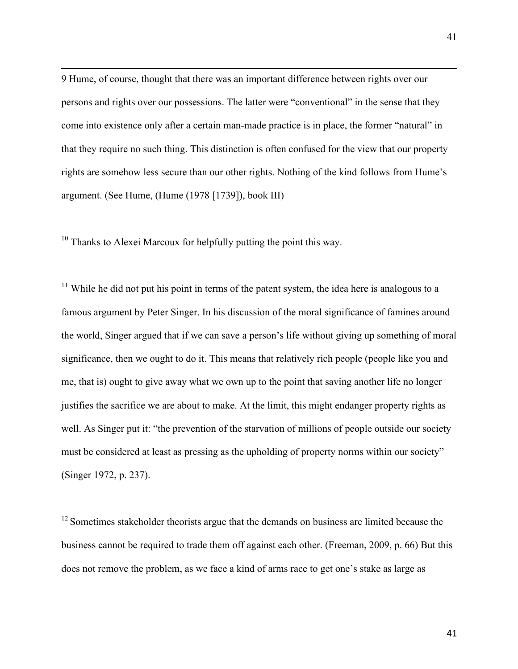9 Hume, of course, thought that there was an important difference between rights over our persons and rights over our possessions. The latter were "conventional" in the sense that they come into existence only after a certain man-made practice is in place, the former "natural" in that they require no such thing. This distinction is often confused for the view that our property rights are somehow less secure than our other rights. Nothing of the kind follows from Hume's argument. (See Hume, (Hume (1978 [1739]), book III)

 $10$  Thanks to Alexei Marcoux for helpfully putting the point this way.

 $\overline{a}$ 

 $11$  While he did not put his point in terms of the patent system, the idea here is analogous to a famous argument by Peter Singer. In his discussion of the moral significance of famines around the world, Singer argued that if we can save a person's life without giving up something of moral significance, then we ought to do it. This means that relatively rich people (people like you and me, that is) ought to give away what we own up to the point that saving another life no longer justifies the sacrifice we are about to make. At the limit, this might endanger property rights as well. As Singer put it: "the prevention of the starvation of millions of people outside our society must be considered at least as pressing as the upholding of property norms within our society" (Singer 1972, p. 237).

 $12$  Sometimes stakeholder theorists argue that the demands on business are limited because the business cannot be required to trade them off against each other. (Freeman, 2009, p. 66) But this does not remove the problem, as we face a kind of arms race to get one's stake as large as